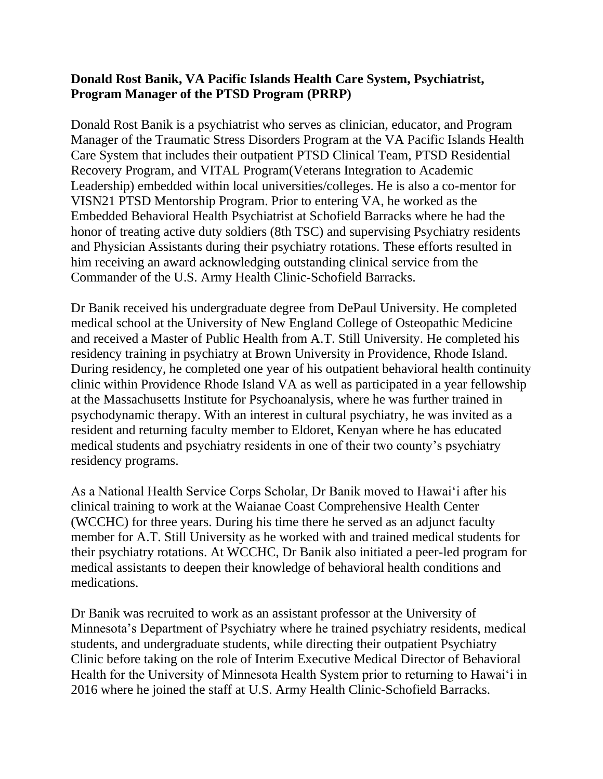## **Donald Rost Banik, VA Pacific Islands Health Care System, Psychiatrist, Program Manager of the PTSD Program (PRRP)**

Donald Rost Banik is a psychiatrist who serves as clinician, educator, and Program Manager of the Traumatic Stress Disorders Program at the VA Pacific Islands Health Care System that includes their outpatient PTSD Clinical Team, PTSD Residential Recovery Program, and VITAL Program(Veterans Integration to Academic Leadership) embedded within local universities/colleges. He is also a co-mentor for VISN21 PTSD Mentorship Program. Prior to entering VA, he worked as the Embedded Behavioral Health Psychiatrist at Schofield Barracks where he had the honor of treating active duty soldiers (8th TSC) and supervising Psychiatry residents and Physician Assistants during their psychiatry rotations. These efforts resulted in him receiving an award acknowledging outstanding clinical service from the Commander of the U.S. Army Health Clinic-Schofield Barracks.

Dr Banik received his undergraduate degree from DePaul University. He completed medical school at the University of New England College of Osteopathic Medicine and received a Master of Public Health from A.T. Still University. He completed his residency training in psychiatry at Brown University in Providence, Rhode Island. During residency, he completed one year of his outpatient behavioral health continuity clinic within Providence Rhode Island VA as well as participated in a year fellowship at the Massachusetts Institute for Psychoanalysis, where he was further trained in psychodynamic therapy. With an interest in cultural psychiatry, he was invited as a resident and returning faculty member to Eldoret, Kenyan where he has educated medical students and psychiatry residents in one of their two county's psychiatry residency programs.

As a National Health Service Corps Scholar, Dr Banik moved to Hawai'i after his clinical training to work at the Waianae Coast Comprehensive Health Center (WCCHC) for three years. During his time there he served as an adjunct faculty member for A.T. Still University as he worked with and trained medical students for their psychiatry rotations. At WCCHC, Dr Banik also initiated a peer-led program for medical assistants to deepen their knowledge of behavioral health conditions and medications.

Dr Banik was recruited to work as an assistant professor at the University of Minnesota's Department of Psychiatry where he trained psychiatry residents, medical students, and undergraduate students, while directing their outpatient Psychiatry Clinic before taking on the role of Interim Executive Medical Director of Behavioral Health for the University of Minnesota Health System prior to returning to Hawai'i in 2016 where he joined the staff at U.S. Army Health Clinic-Schofield Barracks.